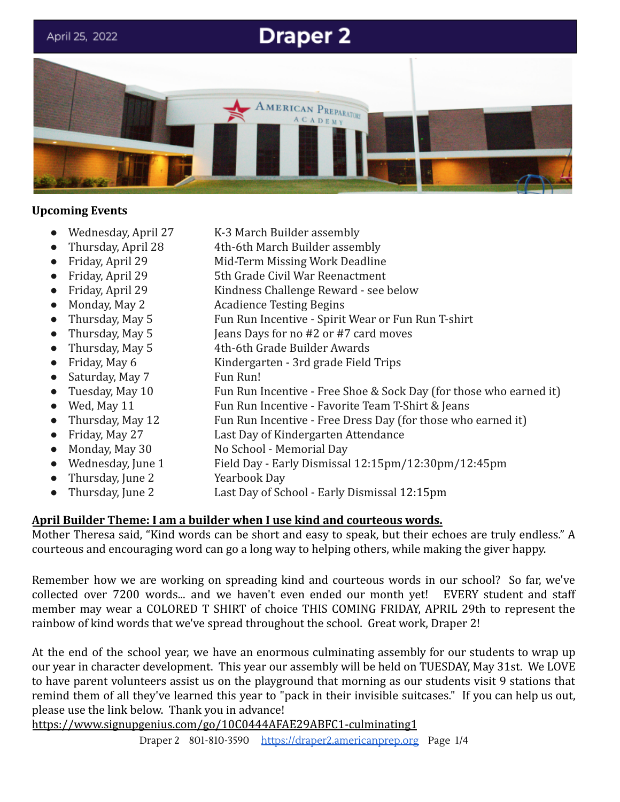

## **Upcoming Events**

- Wednesday, April 27 K-3 March Builder assembly
- Thursday, April 28 4th-6th March Builder assembly
- Friday, April 29 Mid-Term Missing Work Deadline
- Friday, April 29 5th Grade Civil War Reenactment
- Friday, April 29 Kindness Challenge Reward see below
- Monday, May 2 Acadience Testing Begins
- Thursday, May 5 Fun Run Incentive Spirit Wear or Fun Run T-shirt
- Thursday, May 5 Jeans Days for no #2 or #7 card moves
- Thursday, May 5 4th-6th Grade Builder Awards
- Friday, May 6 Kindergarten 3rd grade Field Trips
- Saturday, May 7 Fun Run!
- Tuesday, May 10 Fun Run Incentive Free Shoe & Sock Day (for those who earned it)
- Wed, May 11 Fun Run Incentive Favorite Team T-Shirt & Jeans
- Thursday, May 12 Fun Run Incentive Free Dress Day (for those who earned it)
- Friday, May 27 Last Day of Kindergarten Attendance
- Monday, May 30 No School Memorial Day
- Wednesday, June 1 Field Day Early Dismissal 12:15pm/12:30pm/12:45pm
- Thursday, June 2 Yearbook Day
- Thursday, June 2 Last Day of School Early Dismissal 12:15pm

# **April Builder Theme: I am a builder when I use kind and courteous words.**

Mother Theresa said, "Kind words can be short and easy to speak, but their echoes are truly endless." A courteous and encouraging word can go a long way to helping others, while making the giver happy.

Remember how we are working on spreading kind and courteous words in our school? So far, we've collected over 7200 words... and we haven't even ended our month yet! EVERY student and staff member may wear a COLORED T SHIRT of choice THIS COMING FRIDAY, APRIL 29th to represent the rainbow of kind words that we've spread throughout the school. Great work, Draper 2!

At the end of the school year, we have an enormous culminating assembly for our students to wrap up our year in character development. This year our assembly will be held on TUESDAY, May 31st. We LOVE to have parent volunteers assist us on the playground that morning as our students visit 9 stations that remind them of all they've learned this year to "pack in their invisible suitcases." If you can help us out, please use the link below. Thank you in advance!

<https://www.signupgenius.com/go/10C0444AFAE29ABFC1-culminating1>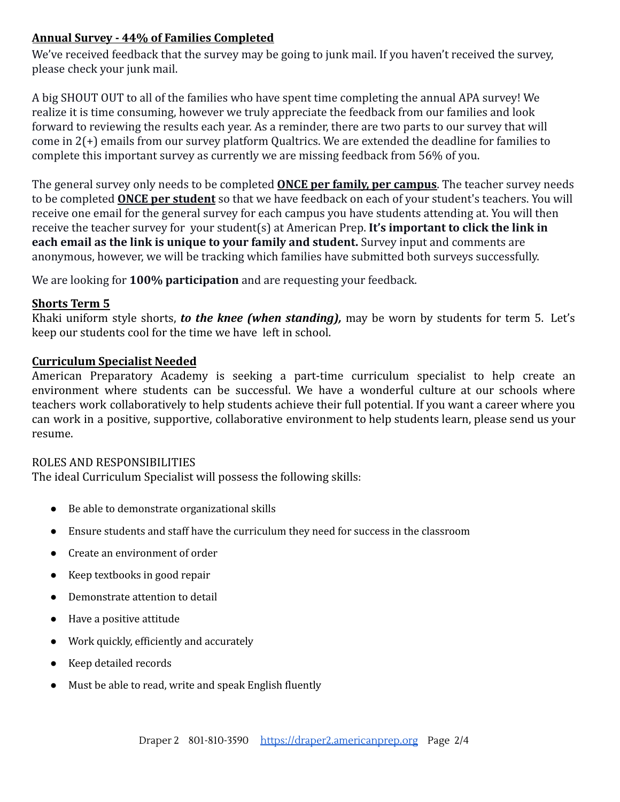# **Annual Survey - 44% of Families Completed**

We've received feedback that the survey may be going to junk mail. If you haven't received the survey, please check your junk mail.

A big SHOUT OUT to all of the families who have spent time completing the annual APA survey! We realize it is time consuming, however we truly appreciate the feedback from our families and look forward to reviewing the results each year. As a reminder, there are two parts to our survey that will come in 2(+) emails from our survey platform Qualtrics. We are extended the deadline for families to complete this important survey as currently we are missing feedback from 56% of you.

The general survey only needs to be completed **ONCE per family, per campus**. The teacher survey needs to be completed **ONCE per student** so that we have feedback on each of your student's teachers. You will receive one email for the general survey for each campus you have students attending at. You will then receive the teacher survey for your student(s) at American Prep. **It's important to click the link in each email as the link is unique to your family and student.** Survey input and comments are anonymous, however, we will be tracking which families have submitted both surveys successfully.

We are looking for **100% participation** and are requesting your feedback.

## **Shorts Term 5**

Khaki uniform style shorts, *to the knee (when standing),* may be worn by students for term 5. Let's keep our students cool for the time we have left in school.

#### **Curriculum Specialist Needed**

American Preparatory Academy is seeking a part-time curriculum specialist to help create an environment where students can be successful. We have a wonderful culture at our schools where teachers work collaboratively to help students achieve their full potential. If you want a career where you can work in a positive, supportive, collaborative environment to help students learn, please send us your resume.

#### ROLES AND RESPONSIBILITIES

The ideal Curriculum Specialist will possess the following skills:

- Be able to demonstrate organizational skills
- Ensure students and staff have the curriculum they need for success in the classroom
- Create an environment of order
- Keep textbooks in good repair
- Demonstrate attention to detail
- Have a positive attitude
- Work quickly, efficiently and accurately
- Keep detailed records
- Must be able to read, write and speak English fluently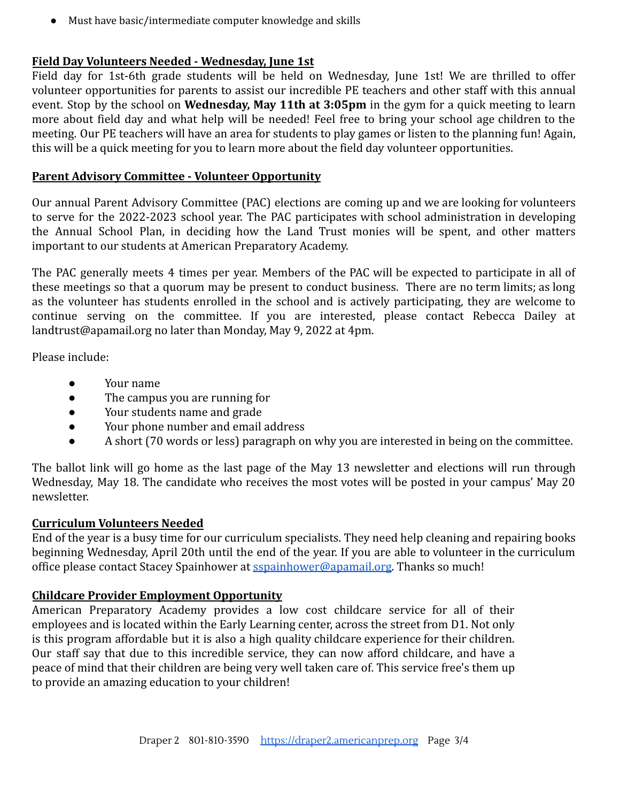● Must have basic/intermediate computer knowledge and skills

## **Field Day Volunteers Needed - Wednesday, June 1st**

Field day for 1st-6th grade students will be held on Wednesday, June 1st! We are thrilled to offer volunteer opportunities for parents to assist our incredible PE teachers and other staff with this annual event. Stop by the school on **Wednesday, May 11th at 3:05pm** in the gym for a quick meeting to learn more about field day and what help will be needed! Feel free to bring your school age children to the meeting. Our PE teachers will have an area for students to play games or listen to the planning fun! Again, this will be a quick meeting for you to learn more about the field day volunteer opportunities.

## **Parent Advisory Committee - Volunteer Opportunity**

Our annual Parent Advisory Committee (PAC) elections are coming up and we are looking for volunteers to serve for the 2022-2023 school year. The PAC participates with school administration in developing the Annual School Plan, in deciding how the Land Trust monies will be spent, and other matters important to our students at American Preparatory Academy.

The PAC generally meets 4 times per year. Members of the PAC will be expected to participate in all of these meetings so that a quorum may be present to conduct business. There are no term limits; as long as the volunteer has students enrolled in the school and is actively participating, they are welcome to continue serving on the committee. If you are interested, please contact Rebecca Dailey at landtrust@apamail.org no later than Monday, May 9, 2022 at 4pm.

Please include:

- Your name
- The campus you are running for
- Your students name and grade
- Your phone number and email address
- A short (70 words or less) paragraph on why you are interested in being on the committee.

The ballot link will go home as the last page of the May 13 newsletter and elections will run through Wednesday, May 18. The candidate who receives the most votes will be posted in your campus' May 20 newsletter.

## **Curriculum Volunteers Needed**

End of the year is a busy time for our curriculum specialists. They need help cleaning and repairing books beginning Wednesday, April 20th until the end of the year. If you are able to volunteer in the curriculum office please contact Stacey Spainhower at [sspainhower@apamail.org.](mailto:sspainhower@apamail.org) Thanks so much!

## **Childcare Provider Employment Opportunity**

American Preparatory Academy provides a low cost childcare service for all of their employees and is located within the Early Learning center, across the street from D1. Not only is this program affordable but it is also a high quality childcare experience for their children. Our staff say that due to this incredible service, they can now afford childcare, and have a peace of mind that their children are being very well taken care of. This service free's them up to provide an amazing education to your children!